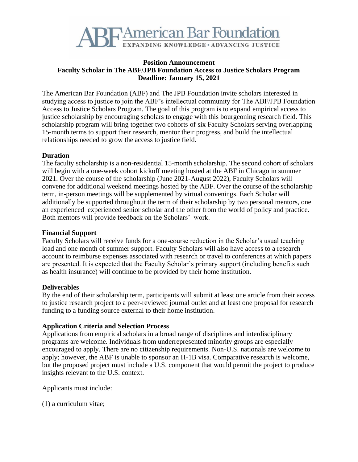

### **Position Announcement Faculty Scholar in The ABF/JPB Foundation Access to Justice Scholars Program Deadline: January 15, 2021**

The American Bar Foundation (ABF) and The JPB Foundation invite scholars interested in studying access to justice to join the ABF's intellectual community for The ABF/JPB Foundation Access to Justice Scholars Program. The goal of this program is to expand empirical access to justice scholarship by encouraging scholars to engage with this bourgeoning research field. This scholarship program will bring together two cohorts of six Faculty Scholars serving overlapping 15-month terms to support their research, mentor their progress, and build the intellectual relationships needed to grow the access to justice field.

## **Duration**

The faculty scholarship is a non-residential 15-month scholarship. The second cohort of scholars will begin with a one-week cohort kickoff meeting hosted at the ABF in Chicago in summer 2021. Over the course of the scholarship (June 2021-August 2022), Faculty Scholars will convene for additional weekend meetings hosted by the ABF. Over the course of the scholarship term, in-person meetings will be supplemented by virtual convenings. Each Scholar will additionally be supported throughout the term of their scholarship by two personal mentors, one an experienced experienced senior scholar and the other from the world of policy and practice. Both mentors will provide feedback on the Scholars' work.

## **Financial Support**

Faculty Scholars will receive funds for a one-course reduction in the Scholar's usual teaching load and one month of summer support. Faculty Scholars will also have access to a research account to reimburse expenses associated with research or travel to conferences at which papers are presented. It is expected that the Faculty Scholar's primary support (including benefits such as health insurance) will continue to be provided by their home institution.

## **Deliverables**

By the end of their scholarship term, participants will submit at least one article from their access to justice research project to a peer-reviewed journal outlet and at least one proposal for research funding to a funding source external to their home institution.

## **Application Criteria and Selection Process**

Applications from empirical scholars in a broad range of disciplines and interdisciplinary programs are welcome. Individuals from underrepresented minority groups are especially encouraged to apply. There are no citizenship requirements. Non-U.S. nationals are welcome to apply; however, the ABF is unable to sponsor an H-1B visa. Comparative research is welcome, but the proposed project must include a U.S. component that would permit the project to produce insights relevant to the U.S. context.

Applicants must include:

(1) a curriculum vitae;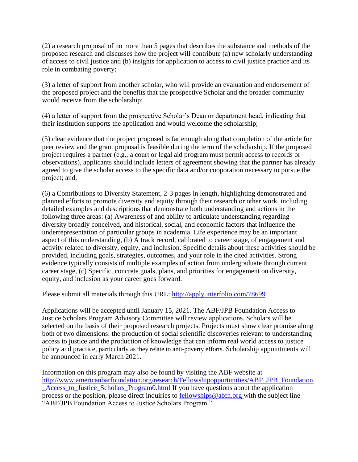(2) a research proposal of no more than 5 pages that describes the substance and methods of the proposed research and discusses how the project will contribute (a) new scholarly understanding of access to civil justice and (b) insights for application to access to civil justice practice and its role in combating poverty;

(3) a letter of support from another scholar, who will provide an evaluation and endorsement of the proposed project and the benefits that the prospective Scholar and the broader community would receive from the scholarship;

(4) a letter of support from the prospective Scholar's Dean or department head, indicating that their institution supports the application and would welcome the scholarship;

(5) clear evidence that the project proposed is far enough along that completion of the article for peer review and the grant proposal is feasible during the term of the scholarship. If the proposed project requires a partner (e.g., a court or legal aid program must permit access to records or observations), applicants should include letters of agreement showing that the partner has already agreed to give the scholar access to the specific data and/or cooporation necessary to pursue the project; and,

(6) a Contributions to Diversity Statement, 2-3 pages in length, highlighting demonstrated and planned efforts to promote diversity and equity through their research or other work, including detailed examples and descriptions that demonstrate both understanding and actions in the following three areas: (a) Awareness of and ability to articulate understanding regarding diversity broadly conceived, and historical, social, and economic factors that influence the underrepresentation of particular groups in academia. Life experience may be an important aspect of this understanding, (b) A track record, calibrated to career stage, of engagement and activity related to diversity, equity, and inclusion. Specific details about these activities should be provided, including goals, strategies, outcomes, and your role in the cited activities. Strong evidence typically consists of multiple examples of action from undergraduate through current career stage, (c) Specific, concrete goals, plans, and priorities for engagement on diversity, equity, and inclusion as your career goes forward.

Please submit all materials through this URL: http://apply.interfolio.com/78699

Applications will be accepted until January 15, 2021. The ABF/JPB Foundation Access to Justice Scholars Program Advisory Committee will review applications. Scholars will be selected on the basis of their proposed research projects. Projects must show clear promise along both of two dimensions: the production of social scientific discoveries relevant to understanding access to justice and the production of knowledge that can inform real world access to justice policy and practice, particularly as they relate to anti-poverty efforts. Scholarship appointments will be announced in early March 2021.

Information on this program may also be found by visiting the ABF website at [http://www.americanbarfoundation.org/research/Fellowshipopportunities/ABF\\_JPB\\_Foundation](http://www.americanbarfoundation.org/research/Fellowshipopportunities/ABF_JPB_Foundation_Access_to_Justice_Scholars_Program0.html) [\\_Access\\_to\\_Justice\\_Scholars\\_Program0.html](http://www.americanbarfoundation.org/research/Fellowshipopportunities/ABF_JPB_Foundation_Access_to_Justice_Scholars_Program0.html) If you have questions about the application process or the position, please direct inquiries to [fellowships@abfn.org](mailto:fellowships@abfn.org) with the subject line "ABF/JPB Foundation Access to Justice Scholars Program."